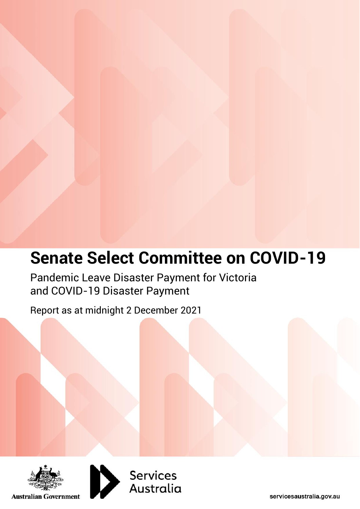## **Senate Select Committee on COVID-19**

Pandemic Leave Disaster Payment for Victoria and COVID-19 Disaster Payment

Report as at midnight 2 December 2021





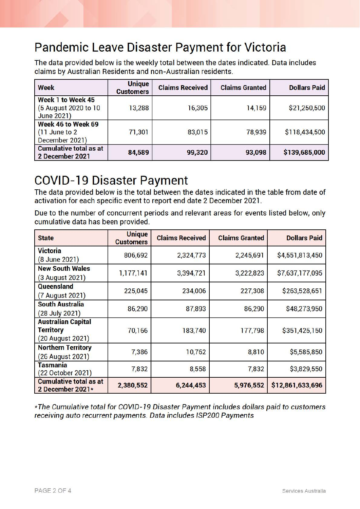## Pandemic Leave Disaster Payment for Victoria

The data provided below is the weekly total between the dates indicated. Data includes claims by Australian Residents and non-Australian residents.

| <b>Week</b>                                             | <b>Unique</b><br><b>Customers</b> | <b>Claims Received</b> | <b>Claims Granted</b> | <b>Dollars Paid</b> |
|---------------------------------------------------------|-----------------------------------|------------------------|-----------------------|---------------------|
| Week 1 to Week 45<br>(5 August 2020 to 10<br>June 2021) | 13,288                            | 16,305                 | 14,159                | \$21,250,500        |
| Week 46 to Week 69<br>(11 June to 2)<br>December 2021)  | 71,301                            | 83,015                 | 78,939                | \$118,434,500       |
| <b>Cumulative total as at</b><br>2 December 2021        | 84,589                            | 99,320                 | 93,098                | \$139,685,000       |

## **COVID-19 Disaster Payment**

The data provided below is the total between the dates indicated in the table from date of activation for each specific event to report end date 2 December 2021 .

Due to the number of concurrent periods and relevant areas for events listed below, only cumulative data has been provided.

| <b>State</b>                                                      | <b>Unique</b><br><b>Customers</b> | <b>Claims Received</b> | <b>Claims Granted</b> | <b>Dollars Paid</b> |
|-------------------------------------------------------------------|-----------------------------------|------------------------|-----------------------|---------------------|
| <b>Victoria</b><br>(8 June 2021)                                  | 806,692                           | 2,324,773              | 2,245,691             | \$4,551,813,450     |
| <b>New South Wales</b><br>(3 August 2021)                         | 1,177,141                         | 3,394,721              | 3,222,823             | \$7,637,177,095     |
| Queensland<br>(7 August 2021)                                     | 225,045                           | 234,006                | 227,308               | \$263,528,651       |
| <b>South Australia</b><br>(28 July 2021)                          | 86,290                            | 87,893                 | 86,290                | \$48,273,950        |
| <b>Australian Capital</b><br><b>Territory</b><br>(20 August 2021) | 70,166                            | 183,740                | 177,798               | \$351,425,150       |
| <b>Northern Territory</b><br>(26 August 2021)                     | 7,386                             | 10,762                 | 8,810                 | \$5,585,850         |
| Tasmania<br>(22 October 2021)                                     | 7,832                             | 8,558                  | 7,832                 | \$3,829,550         |
| <b>Cumulative total as at</b><br>2 December 2021*                 | 2,380,552                         | 6,244,453              | 5,976,552             | \$12,861,633,696    |

\* The Cumulative total for COV/0-19 Disaster Payment includes dollars paid to customers receiving auto recurrent payments. Data includes ISP200 Payments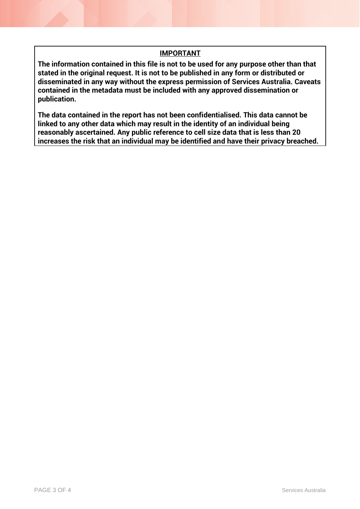## **IMPORTANT**

**The information contained in this file is not to be used for any purpose other than that stated in the original request. It is not to be published in any form or distributed or disseminated in any way without the express permission of Services Australia. Caveats contained in the metadata must be included with any approved dissemination or publication.**

**The data contained in the report has not been confidentialised. This data cannot be linked to any other data which may result in the identity of an individual being reasonably ascertained. Any public reference to cell size data that is less than 20 increases the risk that an individual may be identified and have their privacy breached.**